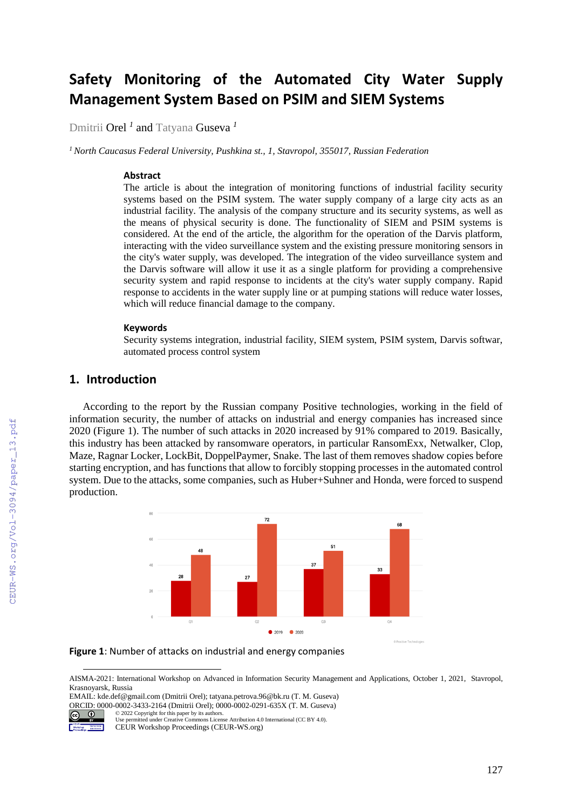# **Safety Monitoring of the Automated City Water Supply Management System Based on PSIM and SIEM Systems**

Dmitrii Orel *<sup>1</sup>* and Tatyana Guseva *<sup>1</sup>*

*<sup>1</sup>North Caucasus Federal University, Pushkina st., 1, Stavropol, 355017, Russian Federation* 

#### **Abstract**

The article is about the integration of monitoring functions of industrial facility security systems based on the PSIM system. The water supply company of a large city acts as an industrial facility. The analysis of the company structure and its security systems, as well as the means of physical security is done. The functionality of SIEM and PSIM systems is considered. At the end of the article, the algorithm for the operation of the Darvis platform, interacting with the video surveillance system and the existing pressure monitoring sensors in the city's water supply, was developed. The integration of the video surveillance system and the Darvis software will allow it use it as a single platform for providing a comprehensive security system and rapid response to incidents at the city's water supply company. Rapid response to accidents in the water supply line or at pumping stations will reduce water losses, which will reduce financial damage to the company.

#### **Keywords**

Security systems integration, industrial facility, SIEM system, PSIM system, Darvis softwar, automated process control system

## **1. Introduction**

According to the report by the Russian company Positive technologies, working in the field of information security, the number of attacks on industrial and energy companies has increased since 2020 (Figure 1). The number of such attacks in 2020 increased by 91% compared to 2019. Basically, this industry has been attacked by ransomware operators, in particular RansomExx, Netwalker, Clop, Maze, Ragnar Locker, LockBit, DoppelPaymer, Snake. The last of them removes shadow copies before starting encryption, and has functions that allow to forcibly stopping processes in the automated control system. Due to the attacks, some companies, such as Huber+Suhner and Honda, were forced to suspend production.





AISMA-2021: International Workshop on Advanced in Information Security Management and Applications, October 1, 2021, Stavropol, Krasnoyarsk, Russia

EMAIL: kde.def@gmail.com (Dmitrii Orel); tatyana.petrova.96@bk.ru (T. M. Guseva) ORCID: 0000-0002-3433-2164 (Dmitrii Orel); 0000-0002-0291-635X (T. M. Guseva) © 2022 Copyright for this paper by its authors.



 $\overline{a}$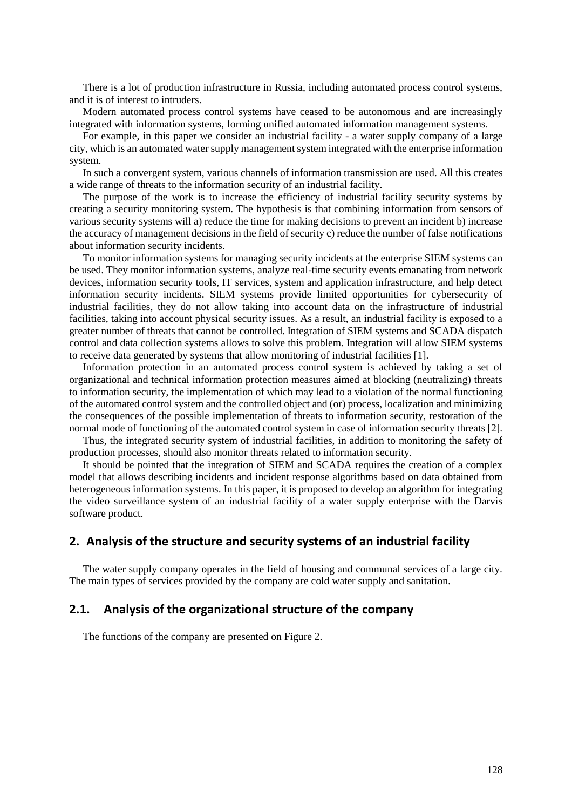There is a lot of production infrastructure in Russia, including automated process control systems, and it is of interest to intruders.

Modern automated process control systems have ceased to be autonomous and are increasingly integrated with information systems, forming unified automated information management systems.

For example, in this paper we consider an industrial facility - a water supply company of a large city, which is an automated water supply management system integrated with the enterprise information system.

In such a convergent system, various channels of information transmission are used. All this creates a wide range of threats to the information security of an industrial facility.

The purpose of the work is to increase the efficiency of industrial facility security systems by creating a security monitoring system. The hypothesis is that combining information from sensors of various security systems will a) reduce the time for making decisions to prevent an incident b) increase the accuracy of management decisions in the field of security c) reduce the number of false notifications about information security incidents.

To monitor information systems for managing security incidents at the enterprise SIEM systems can be used. They monitor information systems, analyze real-time security events emanating from network devices, information security tools, IT services, system and application infrastructure, and help detect information security incidents. SIEM systems provide limited opportunities for cybersecurity of industrial facilities, they do not allow taking into account data on the infrastructure of industrial facilities, taking into account physical security issues. As a result, an industrial facility is exposed to a greater number of threats that cannot be controlled. Integration of SIEM systems and SCADA dispatch control and data collection systems allows to solve this problem. Integration will allow SIEM systems to receive data generated by systems that allow monitoring of industrial facilities [1].

Information protection in an automated process control system is achieved by taking a set of organizational and technical information protection measures aimed at blocking (neutralizing) threats to information security, the implementation of which may lead to a violation of the normal functioning of the automated control system and the controlled object and (or) process, localization and minimizing the consequences of the possible implementation of threats to information security, restoration of the normal mode of functioning of the automated control system in case of information security threats [2].

Thus, the integrated security system of industrial facilities, in addition to monitoring the safety of production processes, should also monitor threats related to information security.

It should be pointed that the integration of SIEM and SCADA requires the creation of a complex model that allows describing incidents and incident response algorithms based on data obtained from heterogeneous information systems. In this paper, it is proposed to develop an algorithm for integrating the video surveillance system of an industrial facility of a water supply enterprise with the Darvis software product.

## **2. Analysis of the structure and security systems of an industrial facility**

The water supply company operates in the field of housing and communal services of a large city. The main types of services provided by the company are cold water supply and sanitation.

#### **2.1. Analysis of the organizational structure of the company**

The functions of the company are presented on Figure 2.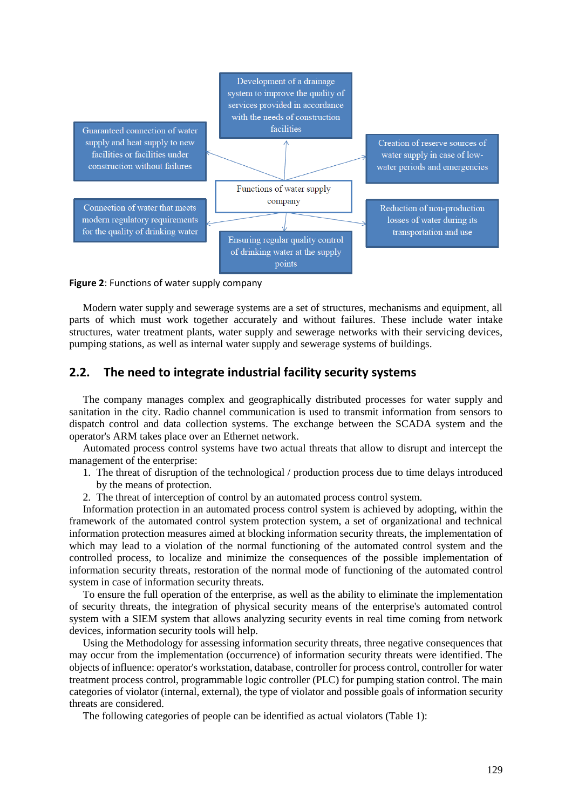

**Figure 2**: Functions of water supply company

Modern water supply and sewerage systems are a set of structures, mechanisms and equipment, all parts of which must work together accurately and without failures. These include water intake structures, water treatment plants, water supply and sewerage networks with their servicing devices, pumping stations, as well as internal water supply and sewerage systems of buildings.

#### **2.2. The need to integrate industrial facility security systems**

The company manages complex and geographically distributed processes for water supply and sanitation in the city. Radio channel communication is used to transmit information from sensors to dispatch control and data collection systems. The exchange between the SCADA system and the operator's ARM takes place over an Ethernet network.

Automated process control systems have two actual threats that allow to disrupt and intercept the management of the enterprise:

- 1. The threat of disruption of the technological / production process due to time delays introduced by the means of protection.
- 2. The threat of interception of control by an automated process control system.

Information protection in an automated process control system is achieved by adopting, within the framework of the automated control system protection system, a set of organizational and technical information protection measures aimed at blocking information security threats, the implementation of which may lead to a violation of the normal functioning of the automated control system and the controlled process, to localize and minimize the consequences of the possible implementation of information security threats, restoration of the normal mode of functioning of the automated control system in case of information security threats.

To ensure the full operation of the enterprise, as well as the ability to eliminate the implementation of security threats, the integration of physical security means of the enterprise's automated control system with a SIEM system that allows analyzing security events in real time coming from network devices, information security tools will help.

Using the Methodology for assessing information security threats, three negative consequences that may occur from the implementation (occurrence) of information security threats were identified. The objects of influence: operator's workstation, database, controller for process control, controller for water treatment process control, programmable logic controller (PLC) for pumping station control. The main categories of violator (internal, external), the type of violator and possible goals of information security threats are considered.

The following categories of people can be identified as actual violators (Table 1):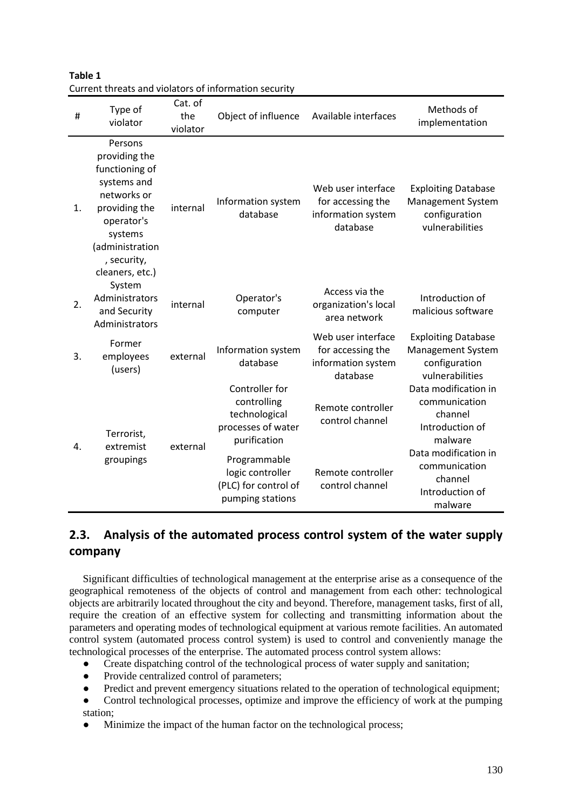| #  | Type of<br>violator                                                                                                                                                     | Cat. of<br>the<br>violator | Object of influence                                                                  | Available interfaces                                                      | Methods of<br>implementation                                                               |  |  |
|----|-------------------------------------------------------------------------------------------------------------------------------------------------------------------------|----------------------------|--------------------------------------------------------------------------------------|---------------------------------------------------------------------------|--------------------------------------------------------------------------------------------|--|--|
| 1. | Persons<br>providing the<br>functioning of<br>systems and<br>networks or<br>providing the<br>operator's<br>systems<br>(administration<br>, security,<br>cleaners, etc.) | internal                   | Information system<br>database                                                       | Web user interface<br>for accessing the<br>information system<br>database | <b>Exploiting Database</b><br><b>Management System</b><br>configuration<br>vulnerabilities |  |  |
| 2. | System<br>Administrators<br>and Security<br>Administrators                                                                                                              | internal                   | Operator's<br>computer                                                               | Access via the<br>organization's local<br>area network                    | Introduction of<br>malicious software                                                      |  |  |
| 3. | Former<br>employees<br>(users)                                                                                                                                          | external                   | Information system<br>database                                                       | Web user interface<br>for accessing the<br>information system<br>database | <b>Exploiting Database</b><br><b>Management System</b><br>configuration<br>vulnerabilities |  |  |
| 4. | Terrorist,<br>extremist<br>groupings                                                                                                                                    | external                   | Controller for<br>controlling<br>technological<br>processes of water<br>purification | Remote controller<br>control channel                                      | Data modification in<br>communication<br>channel<br>Introduction of<br>malware             |  |  |
|    |                                                                                                                                                                         |                            | Programmable<br>logic controller<br>(PLC) for control of<br>pumping stations         | Remote controller<br>control channel                                      | Data modification in<br>communication<br>channel<br>Introduction of<br>malware             |  |  |

**Table 1** Current threats and violators of information security

# **2.3. Analysis of the automated process control system of the water supply company**

Significant difficulties of technological management at the enterprise arise as a consequence of the geographical remoteness of the objects of control and management from each other: technological objects are arbitrarily located throughout the city and beyond. Therefore, management tasks, first of all, require the creation of an effective system for collecting and transmitting information about the parameters and operating modes of technological equipment at various remote facilities. An automated control system (automated process control system) is used to control and conveniently manage the technological processes of the enterprise. The automated process control system allows:

- Create dispatching control of the technological process of water supply and sanitation;
- Provide centralized control of parameters;
- Predict and prevent emergency situations related to the operation of technological equipment;
- Control technological processes, optimize and improve the efficiency of work at the pumping station;
- Minimize the impact of the human factor on the technological process;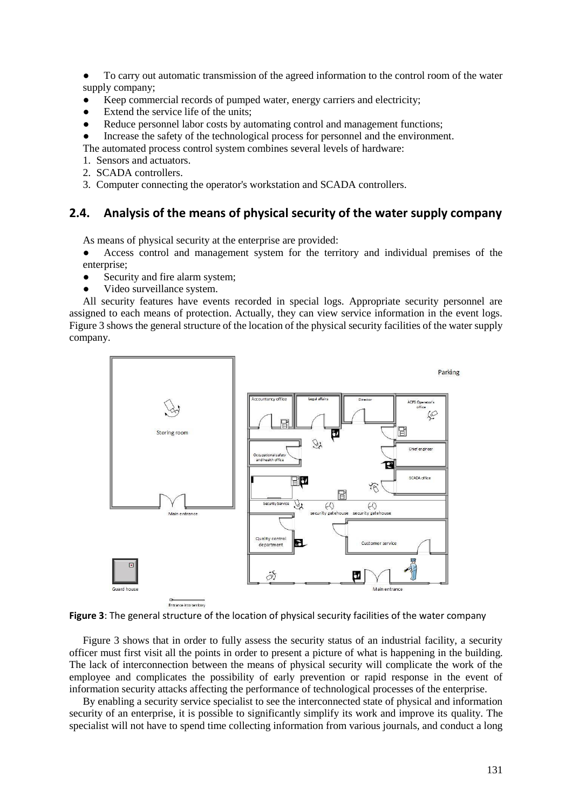● To carry out automatic transmission of the agreed information to the control room of the water supply company;

- Keep commercial records of pumped water, energy carriers and electricity;
- Extend the service life of the units:
- Reduce personnel labor costs by automating control and management functions;
- Increase the safety of the technological process for personnel and the environment.
- The automated process control system combines several levels of hardware:
- 1. Sensors and actuators.
- 2. SCADA controllers.
- 3. Computer connecting the operator's workstation and SCADA controllers.

#### **2.4. Analysis of the means of physical security of the water supply company**

As means of physical security at the enterprise are provided:

Access control and management system for the territory and individual premises of the enterprise;

- Security and fire alarm system;
- Video surveillance system.

All security features have events recorded in special logs. Appropriate security personnel are assigned to each means of protection. Actually, they can view service information in the event logs. Figure 3 shows the general structure of the location of the physical security facilities of the water supply company.



**Figure 3**: The general structure of the location of physical security facilities of the water company

Figure 3 shows that in order to fully assess the security status of an industrial facility, a security officer must first visit all the points in order to present a picture of what is happening in the building. The lack of interconnection between the means of physical security will complicate the work of the employee and complicates the possibility of early prevention or rapid response in the event of information security attacks affecting the performance of technological processes of the enterprise.

By enabling a security service specialist to see the interconnected state of physical and information security of an enterprise, it is possible to significantly simplify its work and improve its quality. The specialist will not have to spend time collecting information from various journals, and conduct a long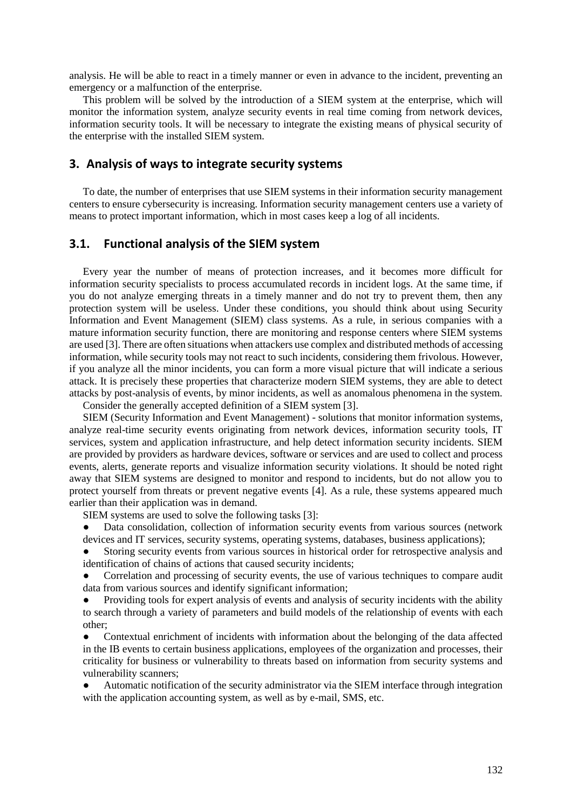analysis. He will be able to react in a timely manner or even in advance to the incident, preventing an emergency or a malfunction of the enterprise.

This problem will be solved by the introduction of a SIEM system at the enterprise, which will monitor the information system, analyze security events in real time coming from network devices, information security tools. It will be necessary to integrate the existing means of physical security of the enterprise with the installed SIEM system.

#### **3. Analysis of ways to integrate security systems**

To date, the number of enterprises that use SIEM systems in their information security management centers to ensure cybersecurity is increasing. Information security management centers use a variety of means to protect important information, which in most cases keep a log of all incidents.

#### **3.1. Functional analysis of the SIEM system**

Every year the number of means of protection increases, and it becomes more difficult for information security specialists to process accumulated records in incident logs. At the same time, if you do not analyze emerging threats in a timely manner and do not try to prevent them, then any protection system will be useless. Under these conditions, you should think about using Security Information and Event Management (SIEM) class systems. As a rule, in serious companies with a mature information security function, there are monitoring and response centers where SIEM systems are used [3]. There are often situations when attackers use complex and distributed methods of accessing information, while security tools may not react to such incidents, considering them frivolous. However, if you analyze all the minor incidents, you can form a more visual picture that will indicate a serious attack. It is precisely these properties that characterize modern SIEM systems, they are able to detect attacks by post-analysis of events, by minor incidents, as well as anomalous phenomena in the system.

Consider the generally accepted definition of a SIEM system [3].

SIEM (Security Information and Event Management) - solutions that monitor information systems, analyze real-time security events originating from network devices, information security tools, IT services, system and application infrastructure, and help detect information security incidents. SIEM are provided by providers as hardware devices, software or services and are used to collect and process events, alerts, generate reports and visualize information security violations. It should be noted right away that SIEM systems are designed to monitor and respond to incidents, but do not allow you to protect yourself from threats or prevent negative events [4]. As a rule, these systems appeared much earlier than their application was in demand.

SIEM systems are used to solve the following tasks [3]:

Data consolidation, collection of information security events from various sources (network devices and IT services, security systems, operating systems, databases, business applications);

Storing security events from various sources in historical order for retrospective analysis and identification of chains of actions that caused security incidents;

Correlation and processing of security events, the use of various techniques to compare audit data from various sources and identify significant information;

Providing tools for expert analysis of events and analysis of security incidents with the ability to search through a variety of parameters and build models of the relationship of events with each other;

Contextual enrichment of incidents with information about the belonging of the data affected in the IB events to certain business applications, employees of the organization and processes, their criticality for business or vulnerability to threats based on information from security systems and vulnerability scanners;

Automatic notification of the security administrator via the SIEM interface through integration with the application accounting system, as well as by e-mail, SMS, etc.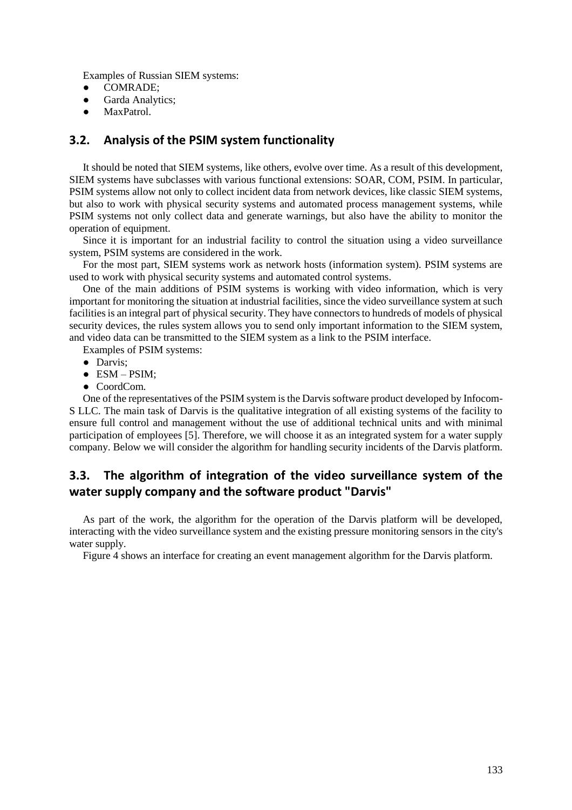Examples of Russian SIEM systems:

- COMRADE;
- Garda Analytics;<br>• MaxPatrol.
- MaxPatrol.

#### **3.2. Analysis of the PSIM system functionality**

It should be noted that SIEM systems, like others, evolve over time. As a result of this development, SIEM systems have subclasses with various functional extensions: SOAR, COM, PSIM. In particular, PSIM systems allow not only to collect incident data from network devices, like classic SIEM systems, but also to work with physical security systems and automated process management systems, while PSIM systems not only collect data and generate warnings, but also have the ability to monitor the operation of equipment.

Since it is important for an industrial facility to control the situation using a video surveillance system, PSIM systems are considered in the work.

For the most part, SIEM systems work as network hosts (information system). PSIM systems are used to work with physical security systems and automated control systems.

One of the main additions of PSIM systems is working with video information, which is very important for monitoring the situation at industrial facilities, since the video surveillance system at such facilities is an integral part of physical security. They have connectors to hundreds of models of physical security devices, the rules system allows you to send only important information to the SIEM system, and video data can be transmitted to the SIEM system as a link to the PSIM interface.

Examples of PSIM systems:

- Darvis;
- $\bullet$  ESM PSIM;
- CoordCom.

One of the representatives of the PSIM system is the Darvis software product developed by Infocom-S LLC. The main task of Darvis is the qualitative integration of all existing systems of the facility to ensure full control and management without the use of additional technical units and with minimal participation of employees [5]. Therefore, we will choose it as an integrated system for a water supply company. Below we will consider the algorithm for handling security incidents of the Darvis platform.

# **3.3. The algorithm of integration of the video surveillance system of the water supply company and the software product "Darvis"**

As part of the work, the algorithm for the operation of the Darvis platform will be developed, interacting with the video surveillance system and the existing pressure monitoring sensors in the city's water supply.

Figure 4 shows an interface for creating an event management algorithm for the Darvis platform.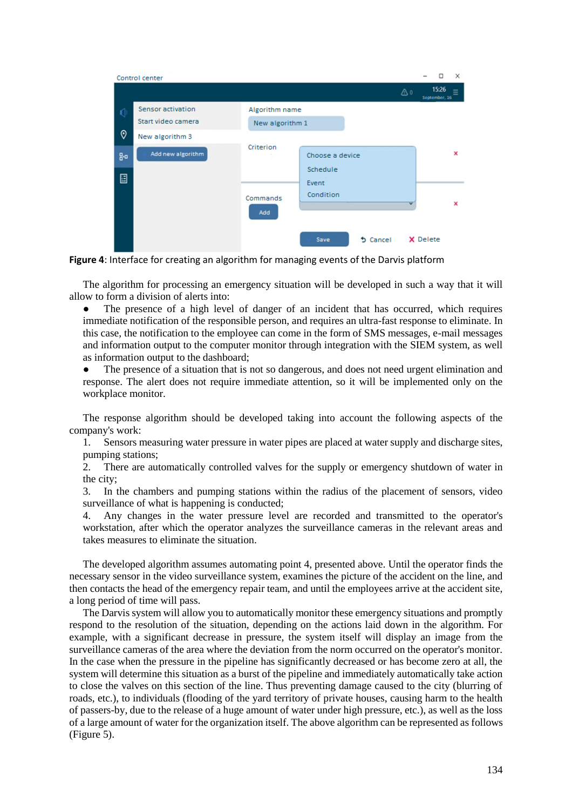|    | Control center     |                 |                    |                 |    |          | ◻                      | $\times$ |
|----|--------------------|-----------------|--------------------|-----------------|----|----------|------------------------|----------|
|    |                    |                 |                    |                 | ۵٥ |          | 15:26<br>September, 16 |          |
|    | Sensor activation  | Algorithm name  |                    |                 |    |          |                        |          |
|    | Start video camera | New algorithm 1 |                    |                 |    |          |                        |          |
| 0  | New algorithm 3    |                 |                    |                 |    |          |                        |          |
| 80 | Add new algorithm  | Criterion       | Choose a device    |                 |    |          |                        | ×        |
| ▣  |                    |                 | Schedule           |                 |    |          |                        |          |
|    |                    |                 | Event<br>Condition |                 |    |          |                        |          |
|    |                    | Commands        |                    |                 |    |          |                        | ×        |
|    |                    | Add             |                    |                 |    |          |                        |          |
|    |                    |                 | Save               | <b>b</b> Cancel |    | X Delete |                        |          |

**Figure 4**: Interface for creating an algorithm for managing events of the Darvis platform

The algorithm for processing an emergency situation will be developed in such a way that it will allow to form a division of alerts into:

The presence of a high level of danger of an incident that has occurred, which requires immediate notification of the responsible person, and requires an ultra-fast response to eliminate. In this case, the notification to the employee can come in the form of SMS messages, e-mail messages and information output to the computer monitor through integration with the SIEM system, as well as information output to the dashboard;

The presence of a situation that is not so dangerous, and does not need urgent elimination and response. The alert does not require immediate attention, so it will be implemented only on the workplace monitor.

The response algorithm should be developed taking into account the following aspects of the company's work:

1. Sensors measuring water pressure in water pipes are placed at water supply and discharge sites, pumping stations;

2. There are automatically controlled valves for the supply or emergency shutdown of water in the city;

3. In the chambers and pumping stations within the radius of the placement of sensors, video surveillance of what is happening is conducted;

4. Any changes in the water pressure level are recorded and transmitted to the operator's workstation, after which the operator analyzes the surveillance cameras in the relevant areas and takes measures to eliminate the situation.

The developed algorithm assumes automating point 4, presented above. Until the operator finds the necessary sensor in the video surveillance system, examines the picture of the accident on the line, and then contacts the head of the emergency repair team, and until the employees arrive at the accident site, a long period of time will pass.

The Darvis system will allow you to automatically monitor these emergency situations and promptly respond to the resolution of the situation, depending on the actions laid down in the algorithm. For example, with a significant decrease in pressure, the system itself will display an image from the surveillance cameras of the area where the deviation from the norm occurred on the operator's monitor. In the case when the pressure in the pipeline has significantly decreased or has become zero at all, the system will determine this situation as a burst of the pipeline and immediately automatically take action to close the valves on this section of the line. Thus preventing damage caused to the city (blurring of roads, etc.), to individuals (flooding of the yard territory of private houses, causing harm to the health of passers-by, due to the release of a huge amount of water under high pressure, etc.), as well as the loss of a large amount of water for the organization itself. The above algorithm can be represented as follows (Figure 5).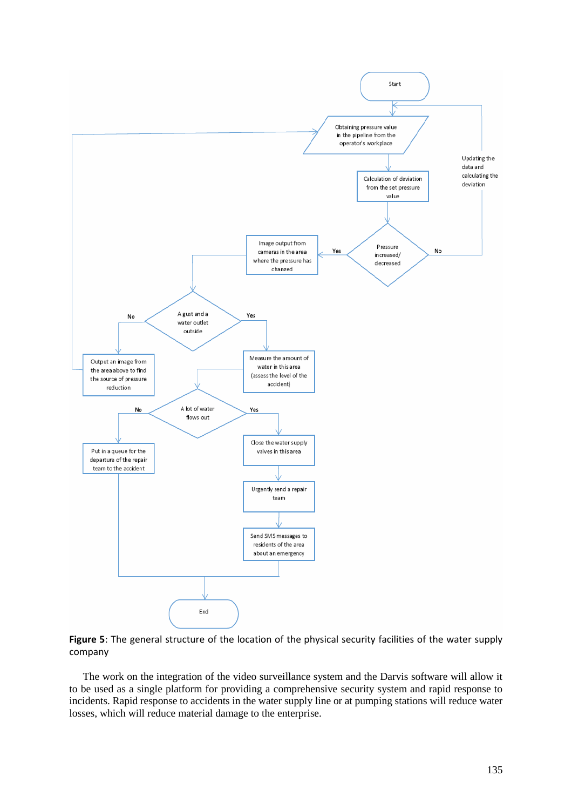

**Figure 5**: The general structure of the location of the physical security facilities of the water supply company

The work on the integration of the video surveillance system and the Darvis software will allow it to be used as a single platform for providing a comprehensive security system and rapid response to incidents. Rapid response to accidents in the water supply line or at pumping stations will reduce water losses, which will reduce material damage to the enterprise.